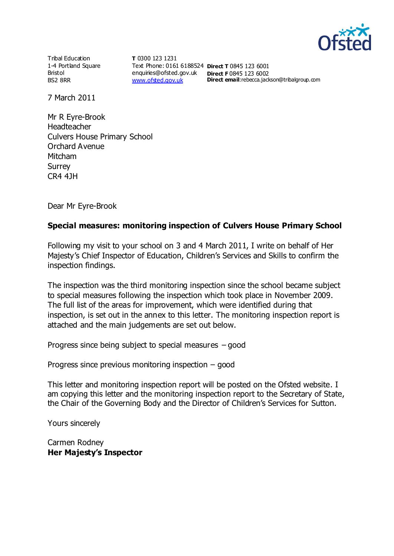

Tribal Education 1-4 Portland Square Bristol BS2 8RR

**T** 0300 123 1231 Text Phone: 0161 6188524 **Direct T** 0845 123 6001 enquiries@ofsted.gov.uk **Direct F** 0845 123 6002 [www.ofsted.gov.uk](http://www.ofsted.gov.uk/)

**Direct email:**rebecca.jackson@tribalgroup.com

7 March 2011

Mr R Eyre-Brook Headteacher Culvers House Primary School Orchard Avenue Mitcham **Surrey** CR4 4JH

Dear Mr Eyre-Brook

#### **Special measures: monitoring inspection of Culvers House Primary School**

Following my visit to your school on 3 and 4 March 2011, I write on behalf of Her Majesty's Chief Inspector of Education, Children's Services and Skills to confirm the inspection findings.

The inspection was the third monitoring inspection since the school became subject to special measures following the inspection which took place in November 2009. The full list of the areas for improvement, which were identified during that inspection, is set out in the annex to this letter. The monitoring inspection report is attached and the main judgements are set out below.

Progress since being subject to special measures – good

Progress since previous monitoring inspection – good

This letter and monitoring inspection report will be posted on the Ofsted website. I am copying this letter and the monitoring inspection report to the Secretary of State, the Chair of the Governing Body and the Director of Children's Services for Sutton.

Yours sincerely

Carmen Rodney **Her Majesty's Inspector**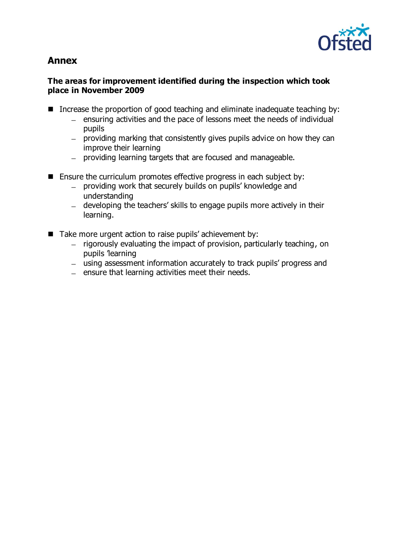

# **Annex**

#### **The areas for improvement identified during the inspection which took place in November 2009**

- Increase the proportion of good teaching and eliminate inadequate teaching by:
	- ensuring activities and the pace of lessons meet the needs of individual  $\equiv$ pupils
	- $-$  providing marking that consistently gives pupils advice on how they can improve their learning
	- providing learning targets that are focused and manageable.
- Ensure the curriculum promotes effective progress in each subject by:
	- providing work that securely builds on pupils' knowledge and understanding
	- developing the teachers' skills to engage pupils more actively in their learning.
- Take more urgent action to raise pupils' achievement by:
	- rigorously evaluating the impact of provision, particularly teaching, on pupils 'learning
	- using assessment information accurately to track pupils' progress and
	- $-$  ensure that learning activities meet their needs.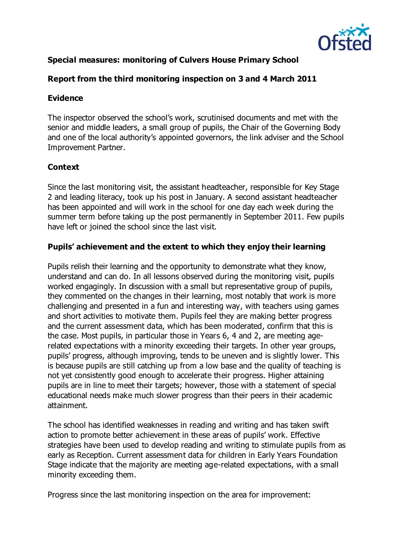

# **Special measures: monitoring of Culvers House Primary School**

### **Report from the third monitoring inspection on 3 and 4 March 2011**

#### **Evidence**

The inspector observed the school's work, scrutinised documents and met with the senior and middle leaders, a small group of pupils, the Chair of the Governing Body and one of the local authority's appointed governors, the link adviser and the School Improvement Partner.

# **Context**

Since the last monitoring visit, the assistant headteacher, responsible for Key Stage 2 and leading literacy, took up his post in January. A second assistant headteacher has been appointed and will work in the school for one day each week during the summer term before taking up the post permanently in September 2011. Few pupils have left or joined the school since the last visit.

#### **Pupils' achievement and the extent to which they enjoy their learning**

Pupils relish their learning and the opportunity to demonstrate what they know, understand and can do. In all lessons observed during the monitoring visit, pupils worked engagingly. In discussion with a small but representative group of pupils, they commented on the changes in their learning, most notably that work is more challenging and presented in a fun and interesting way, with teachers using games and short activities to motivate them. Pupils feel they are making better progress and the current assessment data, which has been moderated, confirm that this is the case. Most pupils, in particular those in Years 6, 4 and 2, are meeting agerelated expectations with a minority exceeding their targets. In other year groups, pupils' progress, although improving, tends to be uneven and is slightly lower. This is because pupils are still catching up from a low base and the quality of teaching is not yet consistently good enough to accelerate their progress. Higher attaining pupils are in line to meet their targets; however, those with a statement of special educational needs make much slower progress than their peers in their academic attainment.

The school has identified weaknesses in reading and writing and has taken swift action to promote better achievement in these areas of pupils' work. Effective strategies have been used to develop reading and writing to stimulate pupils from as early as Reception. Current assessment data for children in Early Years Foundation Stage indicate that the majority are meeting age-related expectations, with a small minority exceeding them.

Progress since the last monitoring inspection on the area for improvement: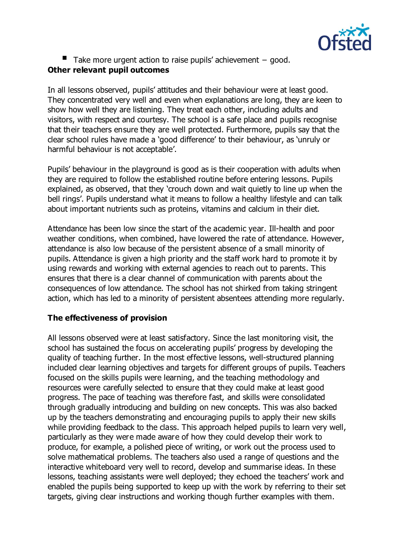

■ Take more urgent action to raise pupils' achievement – good.

# **Other relevant pupil outcomes**

In all lessons observed, pupils' attitudes and their behaviour were at least good. They concentrated very well and even when explanations are long, they are keen to show how well they are listening. They treat each other, including adults and visitors, with respect and courtesy. The school is a safe place and pupils recognise that their teachers ensure they are well protected. Furthermore, pupils say that the clear school rules have made a 'good difference' to their behaviour, as 'unruly or harmful behaviour is not acceptable'.

Pupils' behaviour in the playground is good as is their cooperation with adults when they are required to follow the established routine before entering lessons. Pupils explained, as observed, that they 'crouch down and wait quietly to line up when the bell rings'. Pupils understand what it means to follow a healthy lifestyle and can talk about important nutrients such as proteins, vitamins and calcium in their diet.

Attendance has been low since the start of the academic year. Ill-health and poor weather conditions, when combined, have lowered the rate of attendance. However, attendance is also low because of the persistent absence of a small minority of pupils. Attendance is given a high priority and the staff work hard to promote it by using rewards and working with external agencies to reach out to parents. This ensures that there is a clear channel of communication with parents about the consequences of low attendance. The school has not shirked from taking stringent action, which has led to a minority of persistent absentees attending more regularly.

# **The effectiveness of provision**

All lessons observed were at least satisfactory. Since the last monitoring visit, the school has sustained the focus on accelerating pupils' progress by developing the quality of teaching further. In the most effective lessons, well-structured planning included clear learning objectives and targets for different groups of pupils. Teachers focused on the skills pupils were learning, and the teaching methodology and resources were carefully selected to ensure that they could make at least good progress. The pace of teaching was therefore fast, and skills were consolidated through gradually introducing and building on new concepts. This was also backed up by the teachers demonstrating and encouraging pupils to apply their new skills while providing feedback to the class. This approach helped pupils to learn very well, particularly as they were made aware of how they could develop their work to produce, for example, a polished piece of writing, or work out the process used to solve mathematical problems. The teachers also used a range of questions and the interactive whiteboard very well to record, develop and summarise ideas. In these lessons, teaching assistants were well deployed; they echoed the teachers' work and enabled the pupils being supported to keep up with the work by referring to their set targets, giving clear instructions and working though further examples with them.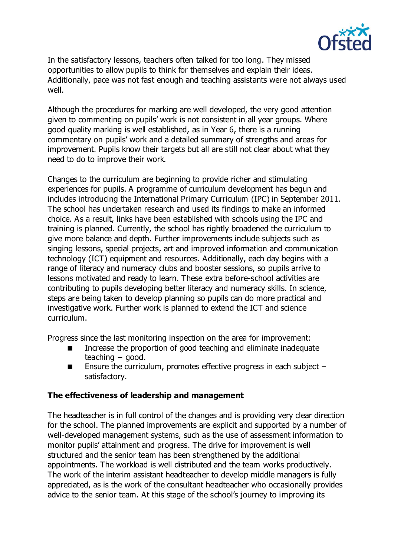

In the satisfactory lessons, teachers often talked for too long. They missed opportunities to allow pupils to think for themselves and explain their ideas. Additionally, pace was not fast enough and teaching assistants were not always used well.

Although the procedures for marking are well developed, the very good attention given to commenting on pupils' work is not consistent in all year groups. Where good quality marking is well established, as in Year 6, there is a running commentary on pupils' work and a detailed summary of strengths and areas for improvement. Pupils know their targets but all are still not clear about what they need to do to improve their work.

Changes to the curriculum are beginning to provide richer and stimulating experiences for pupils. A programme of curriculum development has begun and includes introducing the International Primary Curriculum (IPC) in September 2011. The school has undertaken research and used its findings to make an informed choice. As a result, links have been established with schools using the IPC and training is planned. Currently, the school has rightly broadened the curriculum to give more balance and depth. Further improvements include subjects such as singing lessons, special projects, art and improved information and communication technology (ICT) equipment and resources. Additionally, each day begins with a range of literacy and numeracy clubs and booster sessions, so pupils arrive to lessons motivated and ready to learn. These extra before-school activities are contributing to pupils developing better literacy and numeracy skills. In science, steps are being taken to develop planning so pupils can do more practical and investigative work. Further work is planned to extend the ICT and science curriculum.

Progress since the last monitoring inspection on the area for improvement:

- Increase the proportion of good teaching and eliminate inadequate teaching − good.
- **Ensure the curriculum, promotes effective progress in each subject** satisfactory.

# **The effectiveness of leadership and management**

The headteacher is in full control of the changes and is providing very clear direction for the school. The planned improvements are explicit and supported by a number of well-developed management systems, such as the use of assessment information to monitor pupils' attainment and progress. The drive for improvement is well structured and the senior team has been strengthened by the additional appointments. The workload is well distributed and the team works productively. The work of the interim assistant headteacher to develop middle managers is fully appreciated, as is the work of the consultant headteacher who occasionally provides advice to the senior team. At this stage of the school's journey to improving its